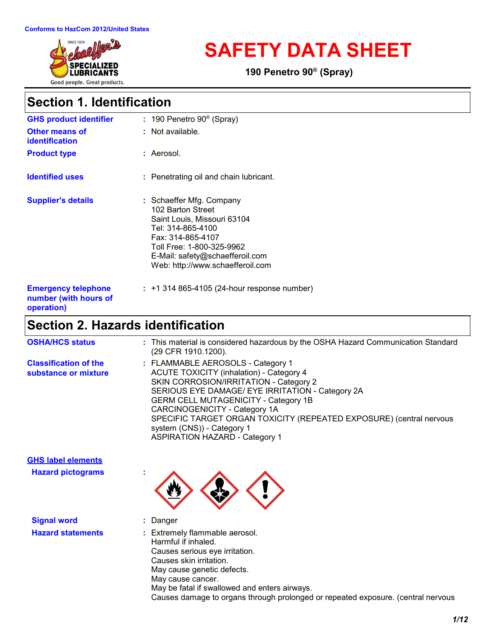

# **SAFETY DATA SHEET**

**190 Penetro 90® (Spray)**

## **Section 1. Identification**

| <b>GHS product identifier</b>                                     | $: 190$ Penetro 90 <sup>®</sup> (Spray)                                                                                                                                                                                    |
|-------------------------------------------------------------------|----------------------------------------------------------------------------------------------------------------------------------------------------------------------------------------------------------------------------|
| <b>Other means of</b><br><i>identification</i>                    | $:$ Not available.                                                                                                                                                                                                         |
| <b>Product type</b>                                               | : Aerosol.                                                                                                                                                                                                                 |
| <b>Identified uses</b>                                            | : Penetrating oil and chain lubricant.                                                                                                                                                                                     |
| <b>Supplier's details</b>                                         | : Schaeffer Mfg. Company<br>102 Barton Street<br>Saint Louis, Missouri 63104<br>Tel: 314-865-4100<br>Fax: 314-865-4107<br>Toll Free: 1-800-325-9962<br>E-Mail: safety@schaefferoil.com<br>Web: http://www.schaefferoil.com |
| <b>Emergency telephone</b><br>number (with hours of<br>operation) | $: +1314865 - 4105(24 - hour$ response number)                                                                                                                                                                             |

## **Section 2. Hazards identification**

| <b>OSHA/HCS status</b>                                | : This material is considered hazardous by the OSHA Hazard Communication Standard<br>(29 CFR 1910.1200).                                                                                                                                                                                                                                                                                                         |
|-------------------------------------------------------|------------------------------------------------------------------------------------------------------------------------------------------------------------------------------------------------------------------------------------------------------------------------------------------------------------------------------------------------------------------------------------------------------------------|
| <b>Classification of the</b><br>substance or mixture  | : FLAMMABLE AEROSOLS - Category 1<br><b>ACUTE TOXICITY (inhalation) - Category 4</b><br>SKIN CORROSION/IRRITATION - Category 2<br>SERIOUS EYE DAMAGE/ EYE IRRITATION - Category 2A<br><b>GERM CELL MUTAGENICITY - Category 1B</b><br>CARCINOGENICITY - Category 1A<br>SPECIFIC TARGET ORGAN TOXICITY (REPEATED EXPOSURE) (central nervous<br>system (CNS)) - Category 1<br><b>ASPIRATION HAZARD - Category 1</b> |
| <b>GHS label elements</b><br><b>Hazard pictograms</b> |                                                                                                                                                                                                                                                                                                                                                                                                                  |

| <b>Signal word</b>       | : Danger                                                                                                                                         |
|--------------------------|--------------------------------------------------------------------------------------------------------------------------------------------------|
| <b>Hazard statements</b> | : Extremely flammable aerosol.<br>Harmful if inhaled.<br>Causes serious eye irritation.<br>Causes skin irritation.<br>May cause genetic defects. |
|                          | May cause cancer.                                                                                                                                |
|                          | May be fatal if swallowed and enters airways.                                                                                                    |

Causes damage to organs through prolonged or repeated exposure. (central nervous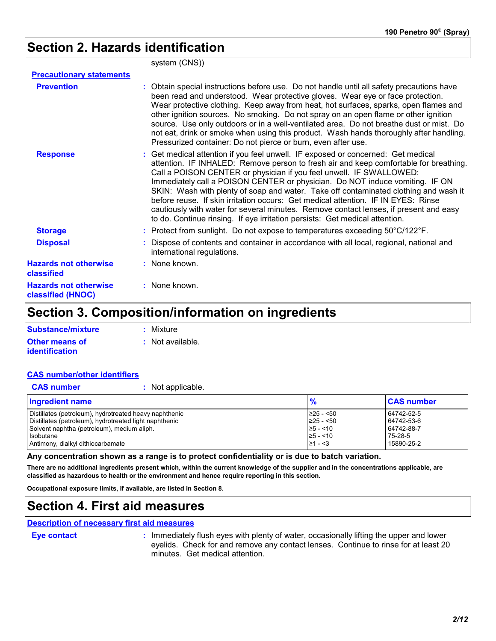## **Section 2. Hazards identification**

|                                                          | system (CNS))                                                                                                                                                                                                                                                                                                                                                                                                                                                                                                                                                                                                                                                                         |
|----------------------------------------------------------|---------------------------------------------------------------------------------------------------------------------------------------------------------------------------------------------------------------------------------------------------------------------------------------------------------------------------------------------------------------------------------------------------------------------------------------------------------------------------------------------------------------------------------------------------------------------------------------------------------------------------------------------------------------------------------------|
| <b>Precautionary statements</b>                          |                                                                                                                                                                                                                                                                                                                                                                                                                                                                                                                                                                                                                                                                                       |
| <b>Prevention</b>                                        | : Obtain special instructions before use. Do not handle until all safety precautions have<br>been read and understood. Wear protective gloves. Wear eye or face protection.<br>Wear protective clothing. Keep away from heat, hot surfaces, sparks, open flames and<br>other ignition sources. No smoking. Do not spray on an open flame or other ignition<br>source. Use only outdoors or in a well-ventilated area. Do not breathe dust or mist. Do<br>not eat, drink or smoke when using this product. Wash hands thoroughly after handling.<br>Pressurized container: Do not pierce or burn, even after use.                                                                      |
| <b>Response</b>                                          | : Get medical attention if you feel unwell. IF exposed or concerned: Get medical<br>attention. IF INHALED: Remove person to fresh air and keep comfortable for breathing.<br>Call a POISON CENTER or physician if you feel unwell. IF SWALLOWED:<br>Immediately call a POISON CENTER or physician. Do NOT induce vomiting. IF ON<br>SKIN: Wash with plenty of soap and water. Take off contaminated clothing and wash it<br>before reuse. If skin irritation occurs: Get medical attention. IF IN EYES: Rinse<br>cautiously with water for several minutes. Remove contact lenses, if present and easy<br>to do. Continue rinsing. If eye irritation persists: Get medical attention. |
| <b>Storage</b>                                           | : Protect from sunlight. Do not expose to temperatures exceeding $50^{\circ}$ C/122 $^{\circ}$ F.                                                                                                                                                                                                                                                                                                                                                                                                                                                                                                                                                                                     |
| <b>Disposal</b>                                          | : Dispose of contents and container in accordance with all local, regional, national and<br>international regulations.                                                                                                                                                                                                                                                                                                                                                                                                                                                                                                                                                                |
| <b>Hazards not otherwise</b><br>classified               | : None known.                                                                                                                                                                                                                                                                                                                                                                                                                                                                                                                                                                                                                                                                         |
| <b>Hazards not otherwise</b><br><b>classified (HNOC)</b> | : None known.                                                                                                                                                                                                                                                                                                                                                                                                                                                                                                                                                                                                                                                                         |

### **Section 3. Composition/information on ingredients**

| Substance/mixture     | : Mixture          |
|-----------------------|--------------------|
| <b>Other means of</b> | $:$ Not available. |
| <i>identification</i> |                    |

#### **CAS number/other identifiers**

| <b>CAS number</b> | : Not applicable. |
|-------------------|-------------------|
|                   |                   |

| Ingredient name                                        | $\frac{9}{6}$   | <b>CAS number</b> |
|--------------------------------------------------------|-----------------|-------------------|
| Distillates (petroleum), hydrotreated heavy naphthenic | $\geq$ 25 - <50 | 64742-52-5        |
| Distillates (petroleum), hydrotreated light naphthenic | $\geq$ 25 - <50 | 64742-53-6        |
| Solvent naphtha (petroleum), medium aliph.             | $\ge 5 - 10$    | 64742-88-7        |
| <b>I</b> sobutane                                      | $\ge 5 - 10$    | 75-28-5           |
| Antimony, dialkyl dithiocarbamate                      | $\geq 1 - 3$    | 15890-25-2        |

**Any concentration shown as a range is to protect confidentiality or is due to batch variation.**

**There are no additional ingredients present which, within the current knowledge of the supplier and in the concentrations applicable, are classified as hazardous to health or the environment and hence require reporting in this section.**

**Occupational exposure limits, if available, are listed in Section 8.**

## **Section 4. First aid measures**

#### **Description of necessary first aid measures**

**Eye contact :**

: Immediately flush eyes with plenty of water, occasionally lifting the upper and lower eyelids. Check for and remove any contact lenses. Continue to rinse for at least 20 minutes. Get medical attention.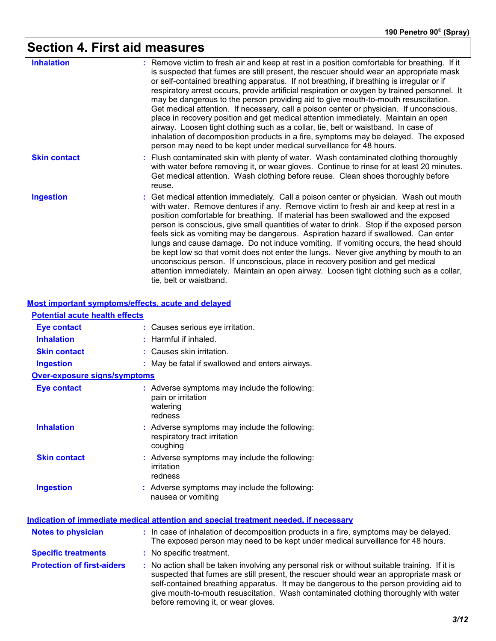# **Section 4. First aid measures**

| <b>Inhalation</b>   | : Remove victim to fresh air and keep at rest in a position comfortable for breathing. If it<br>is suspected that fumes are still present, the rescuer should wear an appropriate mask<br>or self-contained breathing apparatus. If not breathing, if breathing is irregular or if<br>respiratory arrest occurs, provide artificial respiration or oxygen by trained personnel. It<br>may be dangerous to the person providing aid to give mouth-to-mouth resuscitation.<br>Get medical attention. If necessary, call a poison center or physician. If unconscious,<br>place in recovery position and get medical attention immediately. Maintain an open<br>airway. Loosen tight clothing such as a collar, tie, belt or waistband. In case of<br>inhalation of decomposition products in a fire, symptoms may be delayed. The exposed<br>person may need to be kept under medical surveillance for 48 hours. |
|---------------------|----------------------------------------------------------------------------------------------------------------------------------------------------------------------------------------------------------------------------------------------------------------------------------------------------------------------------------------------------------------------------------------------------------------------------------------------------------------------------------------------------------------------------------------------------------------------------------------------------------------------------------------------------------------------------------------------------------------------------------------------------------------------------------------------------------------------------------------------------------------------------------------------------------------|
| <b>Skin contact</b> | : Flush contaminated skin with plenty of water. Wash contaminated clothing thoroughly<br>with water before removing it, or wear gloves. Continue to rinse for at least 20 minutes.<br>Get medical attention. Wash clothing before reuse. Clean shoes thoroughly before<br>reuse.                                                                                                                                                                                                                                                                                                                                                                                                                                                                                                                                                                                                                               |
| <b>Ingestion</b>    | : Get medical attention immediately. Call a poison center or physician. Wash out mouth<br>with water. Remove dentures if any. Remove victim to fresh air and keep at rest in a<br>position comfortable for breathing. If material has been swallowed and the exposed<br>person is conscious, give small quantities of water to drink. Stop if the exposed person<br>feels sick as vomiting may be dangerous. Aspiration hazard if swallowed. Can enter<br>lungs and cause damage. Do not induce vomiting. If vomiting occurs, the head should<br>be kept low so that vomit does not enter the lungs. Never give anything by mouth to an<br>unconscious person. If unconscious, place in recovery position and get medical<br>attention immediately. Maintain an open airway. Loosen tight clothing such as a collar,<br>tie, belt or waistband.                                                                |

#### **Most important symptoms/effects, acute and delayed**

| <b>Potential acute health effects</b> |                                                                                                                                                                                                                                                                                                                                                                                                                 |
|---------------------------------------|-----------------------------------------------------------------------------------------------------------------------------------------------------------------------------------------------------------------------------------------------------------------------------------------------------------------------------------------------------------------------------------------------------------------|
| <b>Eye contact</b>                    | : Causes serious eye irritation.                                                                                                                                                                                                                                                                                                                                                                                |
| <b>Inhalation</b>                     | $:$ Harmful if inhaled.                                                                                                                                                                                                                                                                                                                                                                                         |
| <b>Skin contact</b>                   | : Causes skin irritation.                                                                                                                                                                                                                                                                                                                                                                                       |
| <b>Ingestion</b>                      | : May be fatal if swallowed and enters airways.                                                                                                                                                                                                                                                                                                                                                                 |
| <b>Over-exposure signs/symptoms</b>   |                                                                                                                                                                                                                                                                                                                                                                                                                 |
| <b>Eye contact</b>                    | : Adverse symptoms may include the following:<br>pain or irritation<br>watering<br>redness                                                                                                                                                                                                                                                                                                                      |
| <b>Inhalation</b>                     | : Adverse symptoms may include the following:<br>respiratory tract irritation<br>coughing                                                                                                                                                                                                                                                                                                                       |
| <b>Skin contact</b>                   | : Adverse symptoms may include the following:<br>irritation<br>redness                                                                                                                                                                                                                                                                                                                                          |
| <b>Ingestion</b>                      | : Adverse symptoms may include the following:<br>nausea or vomiting                                                                                                                                                                                                                                                                                                                                             |
|                                       | Indication of immediate medical attention and special treatment needed, if necessary                                                                                                                                                                                                                                                                                                                            |
| <b>Notes to physician</b>             | : In case of inhalation of decomposition products in a fire, symptoms may be delayed.<br>The exposed person may need to be kept under medical surveillance for 48 hours.                                                                                                                                                                                                                                        |
| <b>Specific treatments</b>            | : No specific treatment.                                                                                                                                                                                                                                                                                                                                                                                        |
| <b>Protection of first-aiders</b>     | : No action shall be taken involving any personal risk or without suitable training. If it is<br>suspected that fumes are still present, the rescuer should wear an appropriate mask or<br>self-contained breathing apparatus. It may be dangerous to the person providing aid to<br>give mouth-to-mouth resuscitation. Wash contaminated clothing thoroughly with water<br>before removing it, or wear gloves. |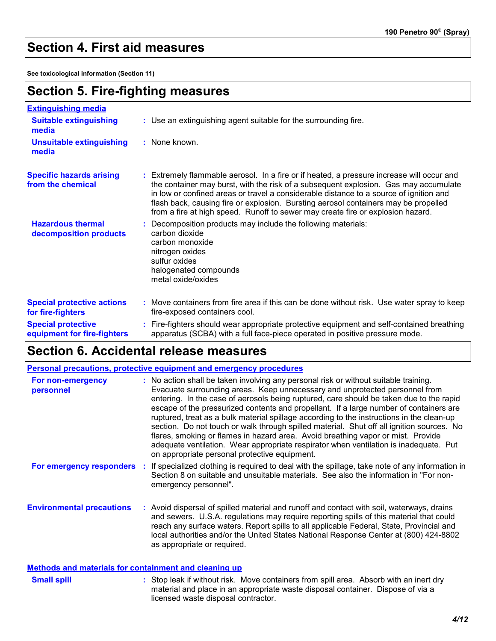## **Section 4. First aid measures**

**See toxicological information (Section 11)**

## **Section 5. Fire-fighting measures**

| <b>Extinguishing media</b>                               |                                                                                                                                                                                                                                                                                                                                                                                                                                                       |
|----------------------------------------------------------|-------------------------------------------------------------------------------------------------------------------------------------------------------------------------------------------------------------------------------------------------------------------------------------------------------------------------------------------------------------------------------------------------------------------------------------------------------|
| <b>Suitable extinguishing</b><br>media                   | : Use an extinguishing agent suitable for the surrounding fire.                                                                                                                                                                                                                                                                                                                                                                                       |
| <b>Unsuitable extinguishing</b><br>media                 | : None known.                                                                                                                                                                                                                                                                                                                                                                                                                                         |
| <b>Specific hazards arising</b><br>from the chemical     | : Extremely flammable aerosol. In a fire or if heated, a pressure increase will occur and<br>the container may burst, with the risk of a subsequent explosion. Gas may accumulate<br>in low or confined areas or travel a considerable distance to a source of ignition and<br>flash back, causing fire or explosion. Bursting aerosol containers may be propelled<br>from a fire at high speed. Runoff to sewer may create fire or explosion hazard. |
| <b>Hazardous thermal</b><br>decomposition products       | Decomposition products may include the following materials:<br>carbon dioxide<br>carbon monoxide<br>nitrogen oxides<br>sulfur oxides<br>halogenated compounds<br>metal oxide/oxides                                                                                                                                                                                                                                                                   |
| <b>Special protective actions</b><br>for fire-fighters   | : Move containers from fire area if this can be done without risk. Use water spray to keep<br>fire-exposed containers cool.                                                                                                                                                                                                                                                                                                                           |
| <b>Special protective</b><br>equipment for fire-fighters | : Fire-fighters should wear appropriate protective equipment and self-contained breathing<br>apparatus (SCBA) with a full face-piece operated in positive pressure mode.                                                                                                                                                                                                                                                                              |

## **Section 6. Accidental release measures**

| <b>Personal precautions, protective equipment and emergency procedures</b> |  |                                                                                                                                                                                                                                                                                                                                                                                                                                                                                                                                                                                                                                                                                                                                                                                  |
|----------------------------------------------------------------------------|--|----------------------------------------------------------------------------------------------------------------------------------------------------------------------------------------------------------------------------------------------------------------------------------------------------------------------------------------------------------------------------------------------------------------------------------------------------------------------------------------------------------------------------------------------------------------------------------------------------------------------------------------------------------------------------------------------------------------------------------------------------------------------------------|
| For non-emergency<br>personnel                                             |  | : No action shall be taken involving any personal risk or without suitable training.<br>Evacuate surrounding areas. Keep unnecessary and unprotected personnel from<br>entering. In the case of aerosols being ruptured, care should be taken due to the rapid<br>escape of the pressurized contents and propellant. If a large number of containers are<br>ruptured, treat as a bulk material spillage according to the instructions in the clean-up<br>section. Do not touch or walk through spilled material. Shut off all ignition sources. No<br>flares, smoking or flames in hazard area. Avoid breathing vapor or mist. Provide<br>adequate ventilation. Wear appropriate respirator when ventilation is inadequate. Put<br>on appropriate personal protective equipment. |
| For emergency responders :                                                 |  | If specialized clothing is required to deal with the spillage, take note of any information in<br>Section 8 on suitable and unsuitable materials. See also the information in "For non-<br>emergency personnel".                                                                                                                                                                                                                                                                                                                                                                                                                                                                                                                                                                 |
| <b>Environmental precautions</b>                                           |  | : Avoid dispersal of spilled material and runoff and contact with soil, waterways, drains<br>and sewers. U.S.A. regulations may require reporting spills of this material that could<br>reach any surface waters. Report spills to all applicable Federal, State, Provincial and<br>local authorities and/or the United States National Response Center at (800) 424-8802<br>as appropriate or required.                                                                                                                                                                                                                                                                                                                                                                         |

#### **Methods and materials for containment and cleaning up**

| <b>Small spill</b> | : Stop leak if without risk. Move containers from spill area. Absorb with an inert dry |
|--------------------|----------------------------------------------------------------------------------------|
|                    | material and place in an appropriate waste disposal container. Dispose of via a        |
|                    | licensed waste disposal contractor.                                                    |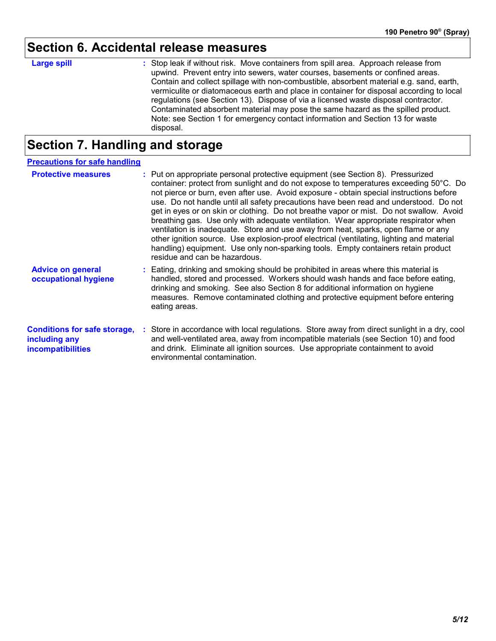# **Section 6. Accidental release measures**

| <b>Large spill</b> | : Stop leak if without risk. Move containers from spill area. Approach release from      |
|--------------------|------------------------------------------------------------------------------------------|
|                    | upwind. Prevent entry into sewers, water courses, basements or confined areas.           |
|                    | Contain and collect spillage with non-combustible, absorbent material e.g. sand, earth,  |
|                    | vermiculite or diatomaceous earth and place in container for disposal according to local |
|                    | regulations (see Section 13). Dispose of via a licensed waste disposal contractor.       |
|                    | Contaminated absorbent material may pose the same hazard as the spilled product.         |
|                    | Note: see Section 1 for emergency contact information and Section 13 for waste           |
|                    | disposal.                                                                                |

## **Section 7. Handling and storage**

| <b>Precautions for safe handling</b>                                             |                                                                                                                                                                                                                                                                                                                                                                                                                                                                                                                                                                                                                                                                                                                                                                                                                                                         |
|----------------------------------------------------------------------------------|---------------------------------------------------------------------------------------------------------------------------------------------------------------------------------------------------------------------------------------------------------------------------------------------------------------------------------------------------------------------------------------------------------------------------------------------------------------------------------------------------------------------------------------------------------------------------------------------------------------------------------------------------------------------------------------------------------------------------------------------------------------------------------------------------------------------------------------------------------|
| <b>Protective measures</b>                                                       | : Put on appropriate personal protective equipment (see Section 8). Pressurized<br>container: protect from sunlight and do not expose to temperatures exceeding 50°C. Do<br>not pierce or burn, even after use. Avoid exposure - obtain special instructions before<br>use. Do not handle until all safety precautions have been read and understood. Do not<br>get in eyes or on skin or clothing. Do not breathe vapor or mist. Do not swallow. Avoid<br>breathing gas. Use only with adequate ventilation. Wear appropriate respirator when<br>ventilation is inadequate. Store and use away from heat, sparks, open flame or any<br>other ignition source. Use explosion-proof electrical (ventilating, lighting and material<br>handling) equipment. Use only non-sparking tools. Empty containers retain product<br>residue and can be hazardous. |
| <b>Advice on general</b><br>occupational hygiene                                 | : Eating, drinking and smoking should be prohibited in areas where this material is<br>handled, stored and processed. Workers should wash hands and face before eating,<br>drinking and smoking. See also Section 8 for additional information on hygiene<br>measures. Remove contaminated clothing and protective equipment before entering<br>eating areas.                                                                                                                                                                                                                                                                                                                                                                                                                                                                                           |
| <b>Conditions for safe storage,</b><br>including any<br><i>incompatibilities</i> | : Store in accordance with local regulations. Store away from direct sunlight in a dry, cool<br>and well-ventilated area, away from incompatible materials (see Section 10) and food<br>and drink. Eliminate all ignition sources. Use appropriate containment to avoid<br>environmental contamination.                                                                                                                                                                                                                                                                                                                                                                                                                                                                                                                                                 |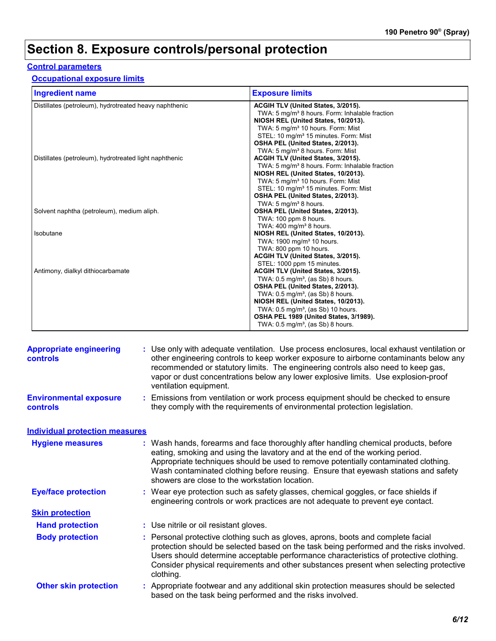## **Section 8. Exposure controls/personal protection**

#### **Control parameters**

#### **Occupational exposure limits**

| <b>Ingredient name</b>                                 | <b>Exposure limits</b>                                                                            |
|--------------------------------------------------------|---------------------------------------------------------------------------------------------------|
| Distillates (petroleum), hydrotreated heavy naphthenic | ACGIH TLV (United States, 3/2015).                                                                |
|                                                        | TWA: 5 mg/m <sup>3</sup> 8 hours. Form: Inhalable fraction<br>NIOSH REL (United States, 10/2013). |
|                                                        | TWA: 5 mg/m <sup>3</sup> 10 hours. Form: Mist                                                     |
|                                                        | STEL: 10 mg/m <sup>3</sup> 15 minutes. Form: Mist                                                 |
|                                                        | OSHA PEL (United States, 2/2013).                                                                 |
|                                                        | TWA: 5 mg/m <sup>3</sup> 8 hours. Form: Mist                                                      |
| Distillates (petroleum), hydrotreated light naphthenic | ACGIH TLV (United States, 3/2015).                                                                |
|                                                        | TWA: 5 mg/m <sup>3</sup> 8 hours. Form: Inhalable fraction                                        |
|                                                        | NIOSH REL (United States, 10/2013).                                                               |
|                                                        | TWA: 5 mg/m <sup>3</sup> 10 hours. Form: Mist                                                     |
|                                                        | STEL: 10 mg/m <sup>3</sup> 15 minutes. Form: Mist                                                 |
|                                                        | OSHA PEL (United States, 2/2013).                                                                 |
|                                                        | TWA: 5 mg/m <sup>3</sup> 8 hours.                                                                 |
| Solvent naphtha (petroleum), medium aliph.             | OSHA PEL (United States, 2/2013).                                                                 |
|                                                        | TWA: 100 ppm 8 hours.                                                                             |
|                                                        | TWA: $400 \text{ mg/m}^3$ 8 hours.                                                                |
| Isobutane                                              | NIOSH REL (United States, 10/2013).                                                               |
|                                                        | TWA: 1900 mg/m <sup>3</sup> 10 hours.                                                             |
|                                                        | TWA: 800 ppm 10 hours.                                                                            |
|                                                        | ACGIH TLV (United States, 3/2015).<br>STEL: 1000 ppm 15 minutes.                                  |
| Antimony, dialkyl dithiocarbamate                      | ACGIH TLV (United States, 3/2015).                                                                |
|                                                        | TWA: $0.5$ mg/m <sup>3</sup> , (as Sb) 8 hours.                                                   |
|                                                        | OSHA PEL (United States, 2/2013).                                                                 |
|                                                        | TWA: $0.5$ mg/m <sup>3</sup> , (as Sb) 8 hours.                                                   |
|                                                        | NIOSH REL (United States, 10/2013).                                                               |
|                                                        | TWA: $0.5 \text{ mg/m}^3$ , (as Sb) 10 hours.                                                     |
|                                                        | OSHA PEL 1989 (United States, 3/1989).                                                            |
|                                                        | TWA: $0.5$ mg/m <sup>3</sup> , (as Sb) 8 hours.                                                   |

| <b>Appropriate engineering</b><br><b>controls</b> | : Use only with adequate ventilation. Use process enclosures, local exhaust ventilation or<br>other engineering controls to keep worker exposure to airborne contaminants below any<br>recommended or statutory limits. The engineering controls also need to keep gas,<br>vapor or dust concentrations below any lower explosive limits. Use explosion-proof<br>ventilation equipment.           |
|---------------------------------------------------|---------------------------------------------------------------------------------------------------------------------------------------------------------------------------------------------------------------------------------------------------------------------------------------------------------------------------------------------------------------------------------------------------|
| <b>Environmental exposure</b><br><b>controls</b>  | : Emissions from ventilation or work process equipment should be checked to ensure<br>they comply with the requirements of environmental protection legislation.                                                                                                                                                                                                                                  |
| <b>Individual protection measures</b>             |                                                                                                                                                                                                                                                                                                                                                                                                   |
| <b>Hygiene measures</b>                           | : Wash hands, forearms and face thoroughly after handling chemical products, before<br>eating, smoking and using the lavatory and at the end of the working period.<br>Appropriate techniques should be used to remove potentially contaminated clothing.<br>Wash contaminated clothing before reusing. Ensure that eyewash stations and safety<br>showers are close to the workstation location. |
| <b>Eye/face protection</b>                        | : Wear eye protection such as safety glasses, chemical goggles, or face shields if<br>engineering controls or work practices are not adequate to prevent eye contact.                                                                                                                                                                                                                             |
| <b>Skin protection</b>                            |                                                                                                                                                                                                                                                                                                                                                                                                   |
| <b>Hand protection</b>                            | : Use nitrile or oil resistant gloves.                                                                                                                                                                                                                                                                                                                                                            |
| <b>Body protection</b>                            | : Personal protective clothing such as gloves, aprons, boots and complete facial<br>protection should be selected based on the task being performed and the risks involved.<br>Users should determine acceptable performance characteristics of protective clothing.<br>Consider physical requirements and other substances present when selecting protective<br>clothing.                        |
| <b>Other skin protection</b>                      | : Appropriate footwear and any additional skin protection measures should be selected<br>based on the task being performed and the risks involved.                                                                                                                                                                                                                                                |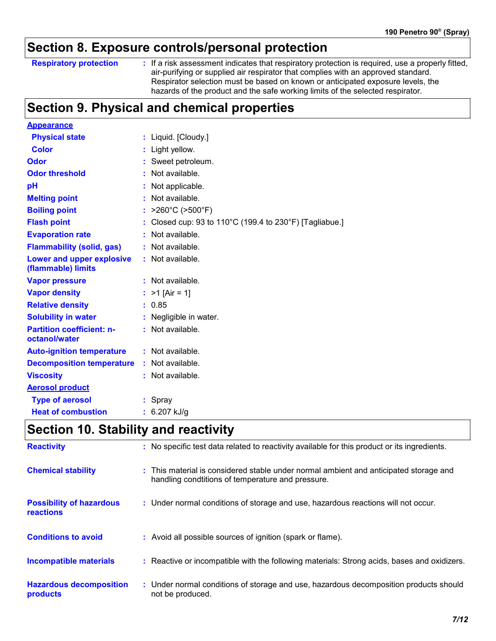## **Section 8. Exposure controls/personal protection**

#### **Respiratory protection :**

: If a risk assessment indicates that respiratory protection is required, use a properly fitted, air-purifying or supplied air respirator that complies with an approved standard. Respirator selection must be based on known or anticipated exposure levels, the hazards of the product and the safe working limits of the selected respirator.

## **Section 9. Physical and chemical properties**

| <b>Appearance</b>                                 |                                                                               |
|---------------------------------------------------|-------------------------------------------------------------------------------|
| <b>Physical state</b>                             | : Liquid. [Cloudy.]                                                           |
| <b>Color</b>                                      | : Light yellow.                                                               |
| <b>Odor</b>                                       | : Sweet petroleum.                                                            |
| <b>Odor threshold</b>                             | : Not available.                                                              |
| pH                                                | : Not applicable.                                                             |
| <b>Melting point</b>                              | : Not available.                                                              |
| <b>Boiling point</b>                              | : $>260^{\circ}$ C ( $>500^{\circ}$ F)                                        |
| <b>Flash point</b>                                | : Closed cup: 93 to 110 $^{\circ}$ C (199.4 to 230 $^{\circ}$ F) [Tagliabue.] |
| <b>Evaporation rate</b>                           | : Not available.                                                              |
| <b>Flammability (solid, gas)</b>                  | : Not available.                                                              |
| Lower and upper explosive<br>(flammable) limits   | : Not available.                                                              |
| <b>Vapor pressure</b>                             | $:$ Not available.                                                            |
| <b>Vapor density</b>                              | : $>1$ [Air = 1]                                                              |
| <b>Relative density</b>                           | : 0.85                                                                        |
| <b>Solubility in water</b>                        | : Negligible in water.                                                        |
| <b>Partition coefficient: n-</b><br>octanol/water | $:$ Not available.                                                            |
| <b>Auto-ignition temperature</b>                  | $:$ Not available.                                                            |
| <b>Decomposition temperature</b>                  | : Not available.                                                              |
| <b>Viscosity</b>                                  | : Not available.                                                              |
| <b>Aerosol product</b>                            |                                                                               |
| <b>Type of aerosol</b>                            | : Spray                                                                       |
| <b>Heat of combustion</b>                         | $: 6.207$ kJ/g                                                                |

## **Section 10. Stability and reactivity**

| <b>Reactivity</b>                                   | : No specific test data related to reactivity available for this product or its ingredients.                                               |
|-----------------------------------------------------|--------------------------------------------------------------------------------------------------------------------------------------------|
| <b>Chemical stability</b>                           | : This material is considered stable under normal ambient and anticipated storage and<br>handling condtitions of temperature and pressure. |
| <b>Possibility of hazardous</b><br><b>reactions</b> | : Under normal conditions of storage and use, hazardous reactions will not occur.                                                          |
| <b>Conditions to avoid</b>                          | : Avoid all possible sources of ignition (spark or flame).                                                                                 |
| Incompatible materials                              | : Reactive or incompatible with the following materials: Strong acids, bases and oxidizers.                                                |
| <b>Hazardous decomposition</b><br>products          | : Under normal conditions of storage and use, hazardous decomposition products should<br>not be produced.                                  |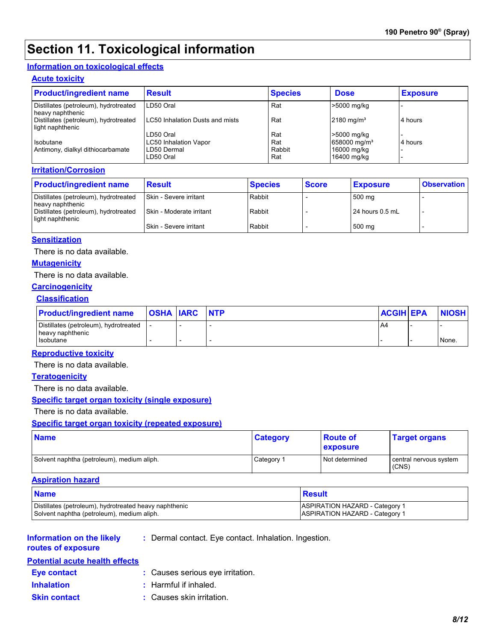## **Section 11. Toxicological information**

#### **Information on toxicological effects**

#### **Acute toxicity**

| <b>Product/ingredient name</b>                            | <b>Result</b>                          | <b>Species</b> | <b>Dose</b>              | <b>Exposure</b> |
|-----------------------------------------------------------|----------------------------------------|----------------|--------------------------|-----------------|
| Distillates (petroleum), hydrotreated<br>heavy naphthenic | LD50 Oral                              | Rat            | >5000 mg/kg              |                 |
| Distillates (petroleum), hydrotreated<br>light naphthenic | <b>LC50 Inhalation Dusts and mists</b> | Rat            | $2180$ mg/m <sup>3</sup> | 4 hours         |
|                                                           | LD50 Oral                              | Rat            | >5000 mg/kg              |                 |
| Isobutane                                                 | <b>LC50 Inhalation Vapor</b>           | Rat            | 658000 mg/m <sup>3</sup> | 4 hours         |
| Antimony, dialkyl dithiocarbamate                         | LD50 Dermal                            | Rabbit         | 16000 mg/kg              |                 |
|                                                           | LD50 Oral                              | Rat            | 16400 mg/kg              |                 |

#### **Irritation/Corrosion**

| <b>Product/ingredient name</b>                            | <b>Result</b>            | <b>Species</b> | <b>Score</b> | <b>Exposure</b>   | <b>Observation</b> |
|-----------------------------------------------------------|--------------------------|----------------|--------------|-------------------|--------------------|
| Distillates (petroleum), hydrotreated<br>heavy naphthenic | Skin - Severe irritant   | Rabbit         |              | 500 mg            |                    |
| Distillates (petroleum), hydrotreated<br>light naphthenic | Skin - Moderate irritant | Rabbit         |              | $24$ hours 0.5 mL |                    |
|                                                           | Skin - Severe irritant   | Rabbit         |              | 500 mg            |                    |

#### **Sensitization**

There is no data available.

#### **Mutagenicity**

There is no data available.

#### **Carcinogenicity**

#### **Classification**

| <b>Product/ingredient name</b>                            | <b>OSHA IARC</b> | <b>INTP</b> | <b>ACGIH EPA</b> | <b>NIOSH</b> |
|-----------------------------------------------------------|------------------|-------------|------------------|--------------|
| Distillates (petroleum), hydrotreated<br>heavy naphthenic |                  |             | A4               |              |
| Isobutane                                                 |                  |             |                  | None.        |

#### **Reproductive toxicity**

There is no data available.

#### **Teratogenicity**

There is no data available.

#### **Specific target organ toxicity (single exposure)**

There is no data available.

#### **Specific target organ toxicity (repeated exposure)**

| <b>Name</b>                                | <b>Category</b> | <b>Route of</b><br><b>exposure</b> | <b>Target organs</b>            |
|--------------------------------------------|-----------------|------------------------------------|---------------------------------|
| Solvent naphtha (petroleum), medium aliph. | Category 1      | Not determined                     | central nervous system<br>(CNS) |

#### **Aspiration hazard**

| <b>Name</b>                                            | Result                                |
|--------------------------------------------------------|---------------------------------------|
| Distillates (petroleum), hydrotreated heavy naphthenic | <b>ASPIRATION HAZARD - Category 1</b> |
| Solvent naphtha (petroleum), medium aliph.             | <b>ASPIRATION HAZARD - Category 1</b> |

#### **Information on the likely routes of exposure**

**:** Dermal contact. Eye contact. Inhalation. Ingestion.

#### **Potential acute health effects**

- **Eye contact :** Causes serious eye irritation.
- 
- **Inhalation :** Harmful if inhaled.
- **Skin contact :** Causes skin irritation.
-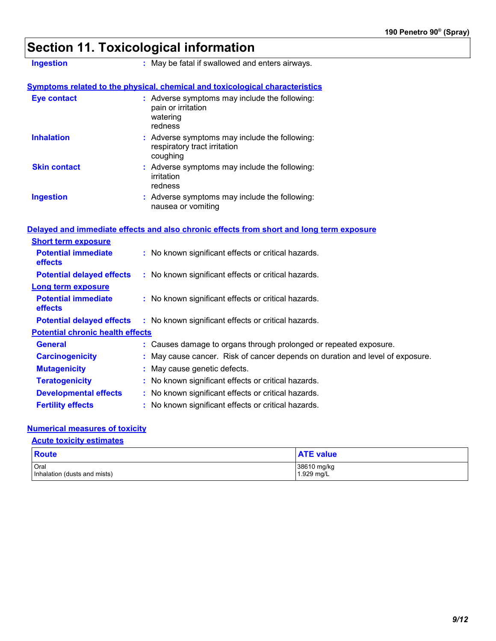# **Section 11. Toxicological information**

| <b>Ingestion</b>                        | : May be fatal if swallowed and enters airways.                                            |
|-----------------------------------------|--------------------------------------------------------------------------------------------|
|                                         | <b>Symptoms related to the physical, chemical and toxicological characteristics</b>        |
| <b>Eye contact</b>                      | : Adverse symptoms may include the following:<br>pain or irritation<br>watering<br>redness |
| <b>Inhalation</b>                       | : Adverse symptoms may include the following:<br>respiratory tract irritation<br>coughing  |
| <b>Skin contact</b>                     | : Adverse symptoms may include the following:<br>irritation<br>redness                     |
| <b>Ingestion</b>                        | : Adverse symptoms may include the following:<br>nausea or vomiting                        |
|                                         | Delayed and immediate effects and also chronic effects from short and long term exposure   |
| <b>Short term exposure</b>              |                                                                                            |
| <b>Potential immediate</b><br>effects   | : No known significant effects or critical hazards.                                        |
| <b>Potential delayed effects</b>        | : No known significant effects or critical hazards.                                        |
| <b>Long term exposure</b>               |                                                                                            |
| <b>Potential immediate</b><br>effects   | : No known significant effects or critical hazards.                                        |
| <b>Potential delayed effects</b>        | : No known significant effects or critical hazards.                                        |
| <b>Potential chronic health effects</b> |                                                                                            |
| <b>General</b>                          | : Causes damage to organs through prolonged or repeated exposure.                          |
| <b>Carcinogenicity</b>                  | : May cause cancer. Risk of cancer depends on duration and level of exposure.              |
| <b>Mutagenicity</b>                     | : May cause genetic defects.                                                               |
| <b>Teratogenicity</b>                   | : No known significant effects or critical hazards.                                        |
| <b>Developmental effects</b>            | : No known significant effects or critical hazards.                                        |
| <b>Fertility effects</b>                | : No known significant effects or critical hazards.                                        |

#### **Numerical measures of toxicity**

**Acute toxicity estimates**

| <b>Route</b>                 | <b>ATE value</b> |
|------------------------------|------------------|
| Oral                         | 38610 mg/kg      |
| Inhalation (dusts and mists) | $1.929$ mg/L     |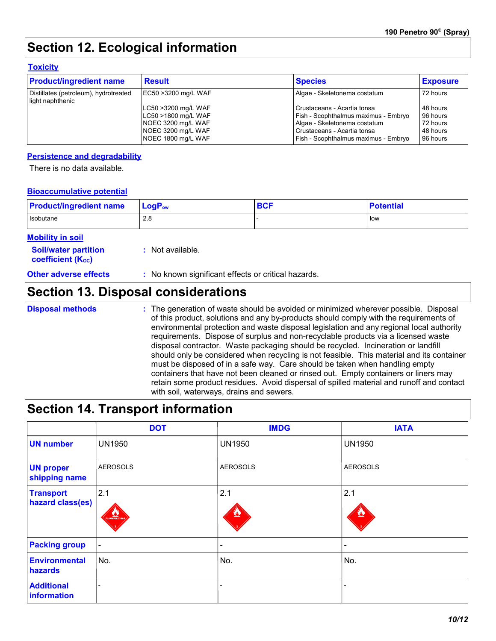## **Section 12. Ecological information**

#### **Toxicity**

| <b>Product/ingredient name</b>                            | <b>Result</b>       | <b>Species</b>                       | <b>Exposure</b> |
|-----------------------------------------------------------|---------------------|--------------------------------------|-----------------|
| Distillates (petroleum), hydrotreated<br>light naphthenic | EC50 >3200 mg/L WAF | Algae - Skeletonema costatum         | 72 hours        |
|                                                           | LC50 >3200 mg/L WAF | l Crustaceans - Acartia tonsa        | 48 hours        |
|                                                           | LC50 >1800 mg/L WAF | Fish - Scophthalmus maximus - Embryo | 96 hours        |
|                                                           | NOEC 3200 mg/L WAF  | Algae - Skeletonema costatum         | 72 hours        |
|                                                           | NOEC 3200 mg/L WAF  | Crustaceans - Acartia tonsa          | 48 hours        |
|                                                           | NOEC 1800 mg/L WAF  | Fish - Scophthalmus maximus - Embrvo | 96 hours        |

#### **Persistence and degradability**

There is no data available.

#### **Bioaccumulative potential**

| <b>Product/ingredient name</b> | $LogPow$ | <b>BCF</b> | <b>Potential</b> |
|--------------------------------|----------|------------|------------------|
| Isobutane                      | 2.8      |            | low              |

#### **Mobility in soil**

| <b>Soil/water partition</b> | : Not available. |
|-----------------------------|------------------|
| <b>coefficient (Koc)</b>    |                  |

**Other adverse effects** : No known significant effects or critical hazards.

### **Section 13. Disposal considerations**

**Disposal methods :**

The generation of waste should be avoided or minimized wherever possible. Disposal of this product, solutions and any by-products should comply with the requirements of environmental protection and waste disposal legislation and any regional local authority requirements. Dispose of surplus and non-recyclable products via a licensed waste disposal contractor. Waste packaging should be recycled. Incineration or landfill should only be considered when recycling is not feasible. This material and its container must be disposed of in a safe way. Care should be taken when handling empty containers that have not been cleaned or rinsed out. Empty containers or liners may retain some product residues. Avoid dispersal of spilled material and runoff and contact with soil, waterways, drains and sewers.

### **Section 14. Transport information**

|                                      | <b>DOT</b>                   | <b>IMDG</b>     | <b>IATA</b>     |
|--------------------------------------|------------------------------|-----------------|-----------------|
| <b>UN number</b>                     | <b>UN1950</b>                | <b>UN1950</b>   | <b>UN1950</b>   |
| <b>UN proper</b><br>shipping name    | <b>AEROSOLS</b>              | <b>AEROSOLS</b> | <b>AEROSOLS</b> |
| <b>Transport</b><br>hazard class(es) | 2.1<br>FLAMMABLE GAS         | 2.1             | 2.1<br><u>V</u> |
| <b>Packing group</b>                 | $\qquad \qquad \blacksquare$ |                 | -               |
| <b>Environmental</b><br>hazards      | No.                          | No.             | No.             |
| <b>Additional</b><br>information     |                              |                 |                 |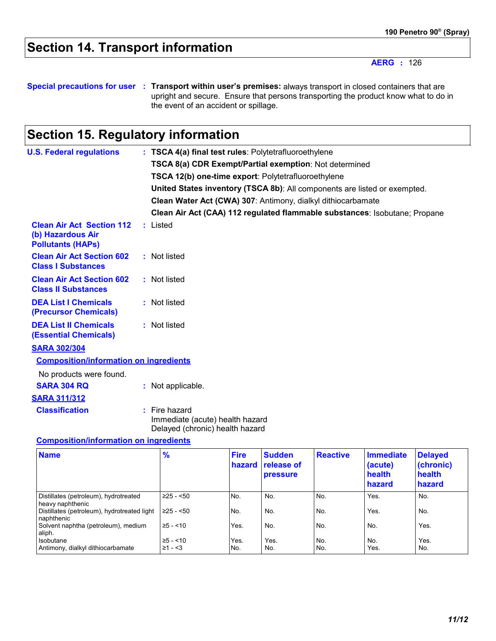## **Section 14. Transport information**

**AERG :** 126

**Special precautions for user Transport within user's premises:** always transport in closed containers that are **:** upright and secure. Ensure that persons transporting the product know what to do in the event of an accident or spillage.

## **Section 15. Regulatory information**

| <b>U.S. Federal regulations</b>                                                   | : TSCA 4(a) final test rules: Polytetrafluoroethylene                                 |
|-----------------------------------------------------------------------------------|---------------------------------------------------------------------------------------|
|                                                                                   | TSCA 8(a) CDR Exempt/Partial exemption: Not determined                                |
|                                                                                   | TSCA 12(b) one-time export: Polytetrafluoroethylene                                   |
|                                                                                   | United States inventory (TSCA 8b): All components are listed or exempted.             |
|                                                                                   | Clean Water Act (CWA) 307: Antimony, dialkyl dithiocarbamate                          |
|                                                                                   | Clean Air Act (CAA) 112 regulated flammable substances: Isobutane; Propane            |
| <b>Clean Air Act Section 112</b><br>(b) Hazardous Air<br><b>Pollutants (HAPs)</b> | $:$ Listed                                                                            |
| <b>Clean Air Act Section 602</b><br><b>Class I Substances</b>                     | : Not listed                                                                          |
| <b>Clean Air Act Section 602</b><br><b>Class II Substances</b>                    | : Not listed                                                                          |
| <b>DEA List I Chemicals</b><br>(Precursor Chemicals)                              | : Not listed                                                                          |
| <b>DEA List II Chemicals</b><br><b>(Essential Chemicals)</b>                      | : Not listed                                                                          |
| <b>SARA 302/304</b>                                                               |                                                                                       |
| <b>Composition/information on ingredients</b>                                     |                                                                                       |
| No products were found.                                                           |                                                                                       |
| <b>SARA 304 RQ</b>                                                                | : Not applicable.                                                                     |
| <b>SARA 311/312</b>                                                               |                                                                                       |
| <b>Classification</b>                                                             | $:$ Fire hazard<br>Immediate (acute) health hazard<br>Delayed (chronic) health hazard |

#### **Composition/information on ingredients**

| <b>Name</b>                                                 | %                         | <b>Fire</b> | <b>Sudden</b><br>hazard release of<br>pressure | <b>Reactive</b> | <b>Immediate</b><br>(acute)<br>health<br>hazard | <b>Delayed</b><br>(chronic)<br>health<br>hazard |
|-------------------------------------------------------------|---------------------------|-------------|------------------------------------------------|-----------------|-------------------------------------------------|-------------------------------------------------|
| Distillates (petroleum), hydrotreated<br>heavy naphthenic   | $\geq$ 25 - <50           | No.         | No.                                            | No.             | Yes.                                            | No.                                             |
| Distillates (petroleum), hydrotreated light<br>I naphthenic | $\geq$ 25 - <50           | No.         | No.                                            | No.             | Yes.                                            | No.                                             |
| Solvent naphtha (petroleum), medium<br>aliph.               | $\ge 5 - 10$              | Yes.        | No.                                            | No.             | No.                                             | Yes.                                            |
| Isobutane<br>Antimony, dialkyl dithiocarbamate              | $\ge 5 - 10$<br>$≥1 - 53$ | Yes.<br>No. | Yes.<br>No.                                    | No.<br>No.      | No.<br>Yes.                                     | Yes.<br>No.                                     |